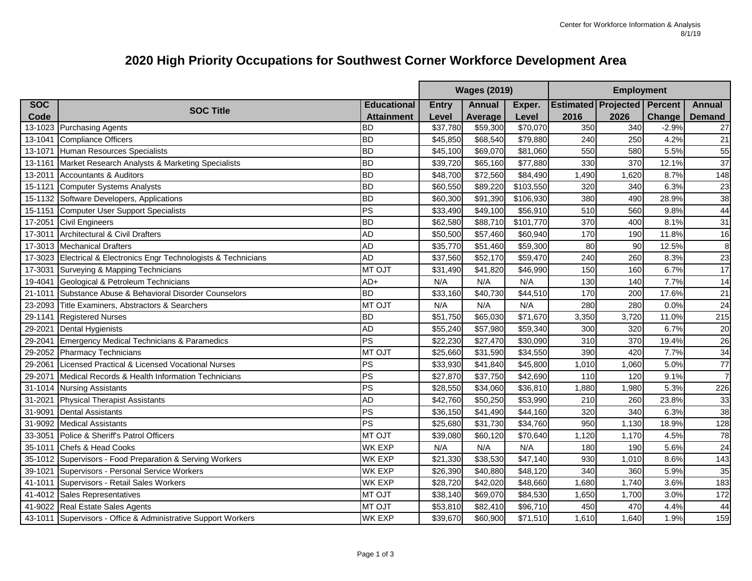## **2020 High Priority Occupations for Southwest Corner Workforce Development Area**

|            |                                                                   |                    | <b>Wages (2019)</b><br><b>Employment</b> |               |                      |       |                                    |               |                |
|------------|-------------------------------------------------------------------|--------------------|------------------------------------------|---------------|----------------------|-------|------------------------------------|---------------|----------------|
| <b>SOC</b> |                                                                   | <b>Educational</b> | <b>Entry</b>                             | <b>Annual</b> | Exper.               |       | <b>Estimated Projected Percent</b> |               | <b>Annual</b>  |
| Code       | <b>SOC Title</b>                                                  | <b>Attainment</b>  | Level                                    | Average       | Level                | 2016  | 2026                               | <b>Change</b> | <b>Demand</b>  |
|            | 13-1023 Purchasing Agents                                         | <b>BD</b>          | \$37,780                                 | \$59,300      | \$70,070             | 350   | 340                                | $-2.9%$       | 27             |
| 13-1041    | Compliance Officers                                               | <b>BD</b>          | \$45,850                                 | \$68,540      | \$79,880             | 240   | 250                                | 4.2%          | 21             |
| 13-1071    | Human Resources Specialists                                       | <b>BD</b>          | \$45,100                                 | \$69,070      | $\overline{$81,060}$ | 550   | 580                                | 5.5%          | 55             |
| 13-1161    | Market Research Analysts & Marketing Specialists                  | <b>BD</b>          | \$39,720                                 | \$65,160      | \$77,880             | 330   | 370                                | 12.1%         | 37             |
| 13-2011    | <b>Accountants &amp; Auditors</b>                                 | <b>BD</b>          | \$48,700                                 | \$72,560      | \$84,490             | 1,490 | 1,620                              | 8.7%          | 148            |
| 15-1121    | <b>Computer Systems Analysts</b>                                  | <b>BD</b>          | \$60,550                                 | \$89,220      | \$103,550            | 320   | 340                                | 6.3%          | 23             |
|            | 15-1132 Software Developers, Applications                         | <b>BD</b>          | \$60,300                                 | \$91,390      | \$106,930            | 380   | 490                                | 28.9%         | 38             |
| 15-1151    | Computer User Support Specialists                                 | PS                 | \$33,490                                 | \$49,100      | \$56,910             | 510   | 560                                | 9.8%          | 44             |
| 17-2051    | <b>Civil Engineers</b>                                            | <b>BD</b>          | \$62,580                                 | \$88,710      | \$101,770            | 370   | 400                                | 8.1%          | 31             |
| 17-3011    | Architectural & Civil Drafters                                    | <b>AD</b>          | \$50,500                                 | \$57,460      | \$60,940             | 170   | 190                                | 11.8%         | 16             |
| 17-3013    | <b>Mechanical Drafters</b>                                        | <b>AD</b>          | \$35,770                                 | \$51,460      | \$59,300             | 80    | 90                                 | 12.5%         | 8              |
|            | 17-3023 Electrical & Electronics Engr Technologists & Technicians | <b>AD</b>          | \$37,560                                 | \$52,170      | \$59,470             | 240   | 260                                | 8.3%          | 23             |
| 17-3031    | Surveying & Mapping Technicians                                   | MT OJT             | \$31,490                                 | \$41,820      | \$46,990             | 150   | 160                                | 6.7%          | 17             |
| 19-4041    | Geological & Petroleum Technicians                                | $AD+$              | N/A                                      | N/A           | N/A                  | 130   | 140                                | 7.7%          | 14             |
| 21-1011    | Substance Abuse & Behavioral Disorder Counselors                  | <b>BD</b>          | \$33,160                                 | \$40,730      | \$44,510             | 170   | 200                                | 17.6%         | 21             |
|            | 23-2093 Title Examiners, Abstractors & Searchers                  | <b>MT OJT</b>      | N/A                                      | N/A           | N/A                  | 280   | 280                                | 0.0%          | 24             |
| 29-1141    | <b>Registered Nurses</b>                                          | <b>BD</b>          | \$51,750                                 | \$65,030      | \$71,670             | 3,350 | 3,720                              | 11.0%         | 215            |
| 29-2021    | <b>Dental Hygienists</b>                                          | <b>AD</b>          | \$55,240                                 | \$57,980      | \$59,340             | 300   | 320                                | 6.7%          | 20             |
| 29-2041    | Emergency Medical Technicians & Paramedics                        | PS                 | \$22,230                                 | \$27,470      | \$30,090             | 310   | 370                                | 19.4%         | 26             |
| 29-2052    | <b>Pharmacy Technicians</b>                                       | <b>MT OJT</b>      | \$25,660                                 | \$31,590      | \$34,550             | 390   | 420                                | 7.7%          | 34             |
| 29-2061    | Licensed Practical & Licensed Vocational Nurses                   | ΡS                 | \$33,930                                 | \$41,840      | \$45,800             | 1,010 | 1,060                              | 5.0%          | 77             |
| 29-2071    | Medical Records & Health Information Technicians                  | PS                 | \$27,870                                 | \$37,750      | \$42,690             | 110   | 120                                | 9.1%          | $\overline{7}$ |
| 31-1014    | <b>Nursing Assistants</b>                                         | ΡS                 | \$28,550                                 | \$34,060      | \$36,810             | 1,880 | 1,980                              | 5.3%          | 226            |
| 31-2021    | <b>Physical Therapist Assistants</b>                              | <b>AD</b>          | \$42,760                                 | \$50,250      | \$53,990             | 210   | 260                                | 23.8%         | 33             |
| 31-9091    | <b>Dental Assistants</b>                                          | ΡS                 | \$36,150                                 | \$41,490      | \$44,160             | 320   | 340                                | 6.3%          | 38             |
| 31-9092    | <b>Medical Assistants</b>                                         | $\overline{R}$     | \$25,680                                 | \$31,730      | \$34,760             | 950   | 1,130                              | 18.9%         | 128            |
| 33-3051    | Police & Sheriff's Patrol Officers                                | <b>MT OJT</b>      | \$39,080                                 | \$60,120      | \$70,640             | 1,120 | 1,170                              | 4.5%          | 78             |
| 35-1011    | Chefs & Head Cooks                                                | <b>WK EXP</b>      | N/A                                      | N/A           | N/A                  | 180   | 190                                | 5.6%          | 24             |
|            | 35-1012 Supervisors - Food Preparation & Serving Workers          | <b>WK EXP</b>      | \$21,330                                 | \$38,530      | \$47,140             | 930   | 1,010                              | 8.6%          | 143            |
| 39-1021    | Supervisors - Personal Service Workers                            | <b>WK EXP</b>      | \$26,390                                 | \$40,880      | \$48,120             | 340   | 360                                | 5.9%          | 35             |
| 41-1011    | Supervisors - Retail Sales Workers                                | <b>WK EXP</b>      | \$28,720                                 | \$42,020      | \$48,660             | 1,680 | 1,740                              | 3.6%          | 183            |
|            | 41-4012 Sales Representatives                                     | <b>MT OJT</b>      | \$38,140                                 | \$69,070      | \$84,530             | 1,650 | 1,700                              | 3.0%          | 172            |
|            | 41-9022 Real Estate Sales Agents                                  | <b>MT OJT</b>      | \$53,810                                 | \$82,410      | \$96,710             | 450   | 470                                | 4.4%          | 44             |
|            | 43-1011 Supervisors - Office & Administrative Support Workers     | WK EXP             | \$39,670                                 | \$60,900      | \$71,510             | 1,610 | 1,640                              | 1.9%          | 159            |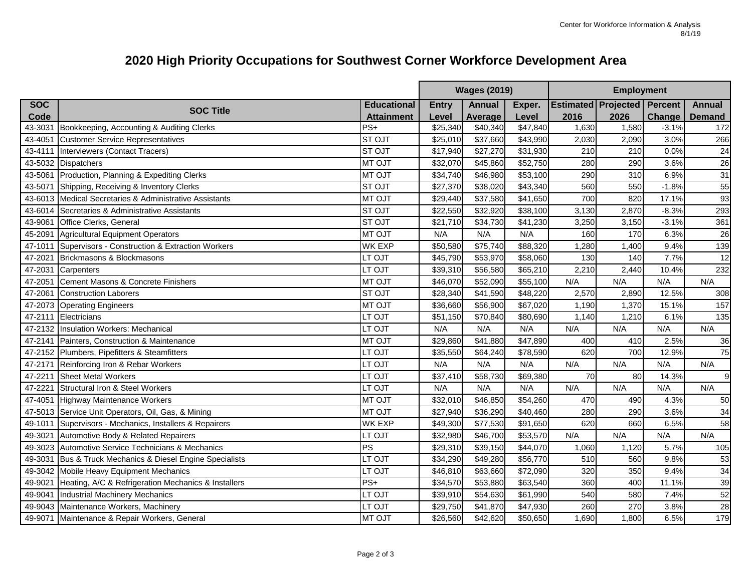## **2020 High Priority Occupations for Southwest Corner Workforce Development Area**

|            |                                                         |                    | <b>Wages (2019)</b> |               |          | <b>Employment</b>                  |       |               |                 |  |
|------------|---------------------------------------------------------|--------------------|---------------------|---------------|----------|------------------------------------|-------|---------------|-----------------|--|
| <b>SOC</b> | <b>SOC Title</b>                                        | <b>Educational</b> | <b>Entry</b>        | <b>Annual</b> | Exper.   | <b>Estimated Projected Percent</b> |       |               | <b>Annual</b>   |  |
| Code       |                                                         | <b>Attainment</b>  | Level               | Average       | Level    | 2016                               | 2026  | <b>Change</b> | <b>Demand</b>   |  |
| 43-3031    | Bookkeeping, Accounting & Auditing Clerks               | $PS+$              | \$25,340            | \$40,340      | \$47,840 | 1,630                              | 1,580 | $-3.1%$       | 172             |  |
| 43-4051    | <b>Customer Service Representatives</b>                 | ST OJT             | \$25,010            | \$37,660      | \$43,990 | 2,030                              | 2,090 | 3.0%          | 266             |  |
| 43-4111    | Interviewers (Contact Tracers)                          | <b>STOJT</b>       | \$17,940            | \$27,270      | \$31,930 | 210                                | 210   | 0.0%          | $\overline{24}$ |  |
| 43-5032    | <b>Dispatchers</b>                                      | <b>MT OJT</b>      | \$32,070            | \$45,860      | \$52,750 | 280                                | 290   | 3.6%          | 26              |  |
| 43-5061    | Production, Planning & Expediting Clerks                | MT OJT             | \$34,740            | \$46,980      | \$53,100 | 290                                | 310   | 6.9%          | 31              |  |
| 43-5071    | Shipping, Receiving & Inventory Clerks                  | <b>STOJT</b>       | \$27,370            | \$38,020      | \$43,340 | 560                                | 550   | $-1.8%$       | 55              |  |
|            | 43-6013 Medical Secretaries & Administrative Assistants | <b>MT OJT</b>      | \$29,440            | \$37,580      | \$41,650 | 700                                | 820   | 17.1%         | 93              |  |
| 43-6014    | Secretaries & Administrative Assistants                 | <b>STOJT</b>       | \$22,550            | \$32,920      | \$38,100 | 3,130                              | 2,870 | $-8.3%$       | 293             |  |
| 43-9061    | Office Clerks, General                                  | <b>STOJT</b>       | \$21,710            | \$34,730      | \$41,230 | 3,250                              | 3,150 | $-3.1%$       | 361             |  |
| 45-2091    | Agricultural Equipment Operators                        | <b>MT OJT</b>      | N/A                 | N/A           | N/A      | 160                                | 170   | 6.3%          | 26              |  |
| 47-1011    | Supervisors - Construction & Extraction Workers         | <b>WK EXP</b>      | \$50,580            | \$75,740      | \$88,320 | 1,280                              | 1,400 | 9.4%          | 139             |  |
| 47-2021    | Brickmasons & Blockmasons                               | LT OJT             | \$45,790            | \$53,970      | \$58,060 | 130                                | 140   | 7.7%          | 12              |  |
| 47-2031    | Carpenters                                              | LT OJT             | \$39,310            | \$56,580      | \$65,210 | 2,210                              | 2,440 | 10.4%         | 232             |  |
| 47-2051    | Cement Masons & Concrete Finishers                      | <b>MT OJT</b>      | \$46,070            | \$52,090      | \$55,100 | N/A                                | N/A   | N/A           | N/A             |  |
| 47-2061    | <b>Construction Laborers</b>                            | <b>STOJT</b>       | \$28,340            | \$41,590      | \$48,220 | 2,570                              | 2,890 | 12.5%         | 308             |  |
| 47-2073    | <b>Operating Engineers</b>                              | MT OJT             | \$36,660            | \$56,900      | \$67,020 | 1,190                              | 1,370 | 15.1%         | 157             |  |
| 47-2111    | Electricians                                            | LT OJT             | \$51,150            | \$70,840      | \$80,690 | 1,140                              | 1,210 | 6.1%          | 135             |  |
|            | 47-2132 Insulation Workers: Mechanical                  | LT OJT             | N/A                 | N/A           | N/A      | N/A                                | N/A   | N/A           | N/A             |  |
| 47-2141    | Painters, Construction & Maintenance                    | MT OJT             | \$29,860            | \$41,880      | \$47,890 | 400                                | 410   | 2.5%          | 36              |  |
|            | 47-2152 Plumbers, Pipefitters & Steamfitters            | LT OJT             | \$35,550            | \$64,240      | \$78,590 | 620                                | 700   | 12.9%         | 75              |  |
| 47-2171    | Reinforcing Iron & Rebar Workers                        | LT OJT             | N/A                 | N/A           | N/A      | N/A                                | N/A   | N/A           | N/A             |  |
| 47-2211    | <b>Sheet Metal Workers</b>                              | LT OJT             | \$37,410            | \$58,730      | \$69,380 | $\overline{70}$                    | 80    | 14.3%         | 9               |  |
| 47-222     | Structural Iron & Steel Workers                         | LT OJT             | N/A                 | N/A           | N/A      | N/A                                | N/A   | N/A           | N/A             |  |
| 47-4051    | Highway Maintenance Workers                             | <b>MT OJT</b>      | \$32,010            | \$46,850      | \$54,260 | 470                                | 490   | 4.3%          | 50              |  |
|            | 47-5013 Service Unit Operators, Oil, Gas, & Mining      | MT OJT             | \$27,940            | \$36,290      | \$40,460 | 280                                | 290   | 3.6%          | 34              |  |
| 49-1011    | Supervisors - Mechanics, Installers & Repairers         | <b>WK EXP</b>      | \$49,300            | \$77,530      | \$91,650 | 620                                | 660   | 6.5%          | 58              |  |
| 49-3021    | Automotive Body & Related Repairers                     | LT OJT             | \$32,980            | \$46,700      | \$53,570 | N/A                                | N/A   | N/A           | N/A             |  |
| 49-3023    | Automotive Service Technicians & Mechanics              | PS                 | \$29,310            | \$39,150      | \$44,070 | 1,060                              | 1,120 | 5.7%          | 105             |  |
| 49-3031    | Bus & Truck Mechanics & Diesel Engine Specialists       | LT OJT             | \$34,290            | \$49,280      | \$56,770 | 510                                | 560   | 9.8%          | 53              |  |
| 49-3042    | Mobile Heavy Equipment Mechanics                        | LT OJT             | \$46,810            | \$63,660      | \$72,090 | 320                                | 350   | 9.4%          | 34              |  |
| 49-9021    | Heating, A/C & Refrigeration Mechanics & Installers     | $PS+$              | \$34,570            | \$53,880      | \$63,540 | 360                                | 400   | 11.1%         | 39              |  |
| 49-9041    | Industrial Machinery Mechanics                          | LT OJT             | \$39,910            | \$54,630      | \$61,990 | 540                                | 580   | 7.4%          | 52              |  |
|            | 49-9043 Maintenance Workers, Machinery                  | LT OJT             | \$29,750            | \$41,870      | \$47,930 | 260                                | 270   | 3.8%          | 28              |  |
|            | 49-9071 Maintenance & Repair Workers, General           | <b>MT OJT</b>      | \$26,560            | \$42,620      | \$50,650 | 1,690                              | 1,800 | 6.5%          | 179             |  |